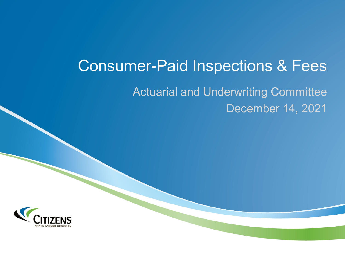Actuarial and Underwriting Committee December 14, 2021

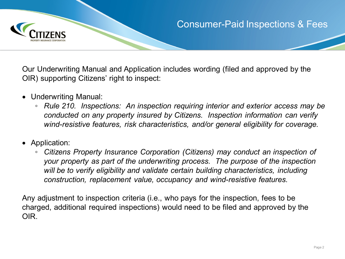

Our Underwriting Manual and Application includes wording (filed and approved by the OIR) supporting Citizens' right to inspect:

- Underwriting Manual:
	- *Rule 210. Inspections: An inspection requiring interior and exterior access may be conducted on any property insured by Citizens. Inspection information can verify wind-resistive features, risk characteristics, and/or general eligibility for coverage.*
- Application:
	- *Citizens Property Insurance Corporation (Citizens) may conduct an inspection of your property as part of the underwriting process. The purpose of the inspection will be to verify eligibility and validate certain building characteristics, including construction, replacement value, occupancy and wind-resistive features.*

Any adjustment to inspection criteria (i.e., who pays for the inspection, fees to be charged, additional required inspections) would need to be filed and approved by the OIR.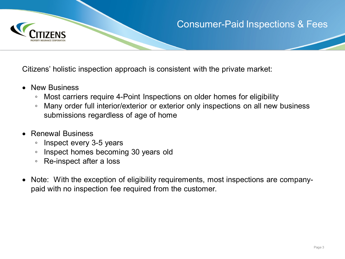

Citizens' holistic inspection approach is consistent with the private market:

- New Business
	- Most carriers require 4-Point Inspections on older homes for eligibility
	- Many order full interior/exterior or exterior only inspections on all new business submissions regardless of age of home
- Renewal Business
	- Inspect every 3-5 years
	- Inspect homes becoming 30 years old
	- Re-inspect after a loss
- Note: With the exception of eligibility requirements, most inspections are companypaid with no inspection fee required from the customer.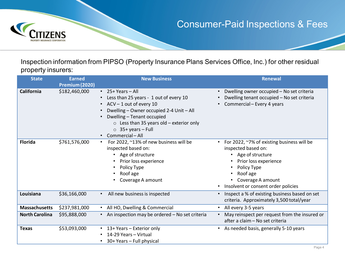

Inspection information from PIPSO (Property Insurance Plans Services Office, Inc.) for other residual property insurers:

| <b>State</b>          | <b>Earned</b>                   | <b>New Business</b>                                                                                                                                                                                                                                                                                               | <b>Renewal</b>                                                                                                                                                                                                                                 |
|-----------------------|---------------------------------|-------------------------------------------------------------------------------------------------------------------------------------------------------------------------------------------------------------------------------------------------------------------------------------------------------------------|------------------------------------------------------------------------------------------------------------------------------------------------------------------------------------------------------------------------------------------------|
| California            | Premium (2020)<br>\$182,460,000 | $\cdot$ 25+ Years – All<br>Less than 25 years - 1 out of every 10<br>$\bullet$<br>$ACV - 1$ out of every 10<br>$\bullet$<br>Dwelling - Owner occupied 2-4 Unit - All<br>Dwelling - Tenant occupied<br>$\circ$ Less than 35 years old – exterior only<br>$\circ$ 35+ years - Full<br>Commercial - All<br>$\bullet$ | Dwelling owner occupied - No set criteria<br>$\bullet$<br>Dwelling tenant occupied - No set criteria<br>Commercial - Every 4 years<br>$\bullet$                                                                                                |
| <b>Florida</b>        | \$761,576,000                   | For 2022, ~13% of new business will be<br>$\bullet$<br>inspected based on:<br>Age of structure<br>$\bullet$<br>Prior loss experience<br>Policy Type<br>٠<br>Roof age<br>Coverage A amount                                                                                                                         | For 2022, ~7% of existing business will be<br>$\bullet$<br>inspected based on:<br>Age of structure<br>$\bullet$<br>Prior loss experience<br>Policy Type<br>$\bullet$<br>Roof age<br>Coverage A amount<br>• Insolvent or consent order policies |
| Louisiana             | \$36,166,000                    | All new business is inspected<br>$\bullet$                                                                                                                                                                                                                                                                        | Inspect a % of existing business based on set<br>$\bullet$<br>criteria. Approximately 3,500 total/year                                                                                                                                         |
| <b>Massachusetts</b>  | \$237,981,000                   | • All HO, Dwelling & Commercial                                                                                                                                                                                                                                                                                   | All every 3-5 years<br>$\bullet$                                                                                                                                                                                                               |
| <b>North Carolina</b> | \$95,888,000                    | • An inspection may be ordered - No set criteria                                                                                                                                                                                                                                                                  | May reinspect per request from the insured or<br>$\bullet$<br>after a claim - No set criteria                                                                                                                                                  |
| <b>Texas</b>          | \$53,093,000                    | • 13+ Years - Exterior only<br>14-29 Years – Virtual<br>$\bullet$<br>30+ Years - Full physical                                                                                                                                                                                                                    | • As needed basis, generally 5-10 years                                                                                                                                                                                                        |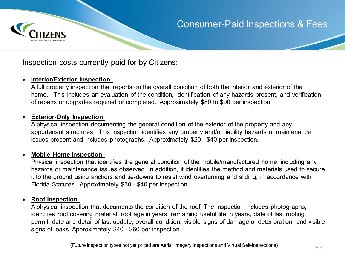

Inspection costs currently paid for by Citizens:

#### • **Interior/Exterior Inspection**

A full property inspection that reports on the overall condition of both the interior and exterior of the home. This includes an evaluation of the condition, identification of any hazards present, and verification of repairs or upgrades required or completed. Approximately \$80 to \$90 per inspection.

#### • **Exterior-Only Inspection**

A physical inspection documenting the general condition of the exterior of the property and any appurtenant structures. This inspection identifies any property and/or liability hazards or maintenance issues present and includes photographs. Approximately \$20 - \$40 per inspection.

#### • **Mobile Home Inspection**

Physical inspection that identifies the general condition of the mobile/manufactured home, including any hazards or maintenance issues observed. In addition, it identifies the method and materials used to secure it to the ground using anchors and tie-downs to resist wind overturning and sliding, in accordance with Florida Statutes. Approximately \$30 - \$40 per inspection.

#### • **Roof Inspection**

A physical inspection that documents the condition of the roof. The inspection includes photographs, identifies roof covering material, roof age in years, remaining useful life in years, date of last roofing permit, date and detail of last update, overall condition, visible signs of damage or deterioration, and visible signs of leaks. Approximately \$40 - \$60 per inspection.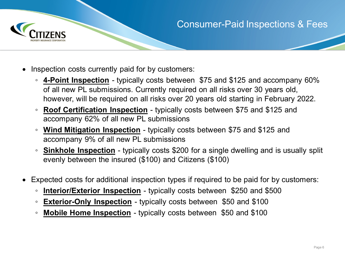

- Inspection costs currently paid for by customers:
	- **4-Point Inspection** typically costs between \$75 and \$125 and accompany 60% of all new PL submissions. Currently required on all risks over 30 years old, however, will be required on all risks over 20 years old starting in February 2022.
	- **Roof Certification Inspection** typically costs between \$75 and \$125 and accompany 62% of all new PL submissions
	- **Wind Mitigation Inspection** typically costs between \$75 and \$125 and accompany 9% of all new PL submissions
	- **Sinkhole Inspection** typically costs \$200 for a single dwelling and is usually split evenly between the insured (\$100) and Citizens (\$100)
- Expected costs for additional inspection types if required to be paid for by customers:
	- **Interior/Exterior Inspection** typically costs between \$250 and \$500
	- **Exterior-Only Inspection** typically costs between \$50 and \$100
	- **Mobile Home Inspection** typically costs between \$50 and \$100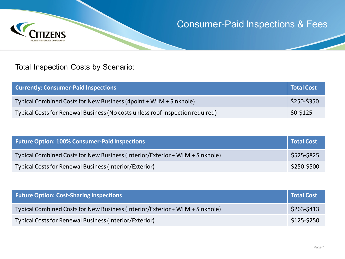

#### Total Inspection Costs by Scenario:

| <b>Currently: Consumer-Paid Inspections</b>                                   | Total Cost  |
|-------------------------------------------------------------------------------|-------------|
| Typical Combined Costs for New Business (4point + WLM + Sinkhole)             | \$250-\$350 |
| Typical Costs for Renewal Business (No costs unless roof inspection required) | $$0-$125$   |

| <b>Future Option: 100% Consumer-Paid Inspections</b>                         | Total Cost  |
|------------------------------------------------------------------------------|-------------|
| Typical Combined Costs for New Business (Interior/Exterior + WLM + Sinkhole) | \$525-\$825 |
| Typical Costs for Renewal Business (Interior/Exterior)                       | \$250-\$500 |

| <b>Future Option: Cost-Sharing Inspections</b>                               | Total Cost  |
|------------------------------------------------------------------------------|-------------|
| Typical Combined Costs for New Business (Interior/Exterior + WLM + Sinkhole) | \$263-\$413 |
| Typical Costs for Renewal Business (Interior/Exterior)                       | \$125-\$250 |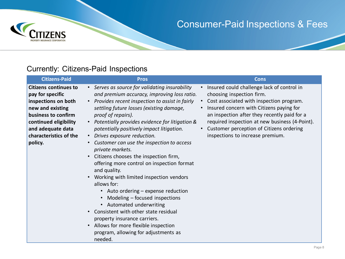

#### Currently: Citizens-Paid Inspections

| <b>Citizens-Paid</b>                                                                                                                                                                                  | <b>Pros</b>                                                                                                                                                                                                                                                                                                                                                                                                                                                                                                                                                                                                                                                                                                                                                                                                                                                                  | <b>Cons</b>                                                                                                                                                                                                                                                                                                                                                                 |
|-------------------------------------------------------------------------------------------------------------------------------------------------------------------------------------------------------|------------------------------------------------------------------------------------------------------------------------------------------------------------------------------------------------------------------------------------------------------------------------------------------------------------------------------------------------------------------------------------------------------------------------------------------------------------------------------------------------------------------------------------------------------------------------------------------------------------------------------------------------------------------------------------------------------------------------------------------------------------------------------------------------------------------------------------------------------------------------------|-----------------------------------------------------------------------------------------------------------------------------------------------------------------------------------------------------------------------------------------------------------------------------------------------------------------------------------------------------------------------------|
| <b>Citizens continues to</b><br>pay for specific<br>inspections on both<br>new and existing<br>business to confirm<br>continued eligibility<br>and adequate data<br>characteristics of the<br>policy. | • Serves as source for validating insurability<br>and premium accuracy, improving loss ratio.<br>• Provides recent inspection to assist in fairly<br>settling future losses (existing damage,<br>proof of repairs).<br>• Potentially provides evidence for litigation &<br>potentially positively impact litigation.<br>• Drives exposure reduction.<br>• Customer can use the inspection to access<br>private markets.<br>Citizens chooses the inspection firm,<br>$\bullet$<br>offering more control on inspection format<br>and quality.<br>Working with limited inspection vendors<br>allows for:<br>• Auto ordering – expense reduction<br>Modeling - focused inspections<br>• Automated underwriting<br>Consistent with other state residual<br>property insurance carriers.<br>Allows for more flexible inspection<br>program, allowing for adjustments as<br>needed. | Insured could challenge lack of control in<br>$\bullet$<br>choosing inspection firm.<br>Cost associated with inspection program.<br>$\bullet$<br>Insured concern with Citizens paying for<br>an inspection after they recently paid for a<br>required inspection at new business (4-Point).<br>Customer perception of Citizens ordering<br>inspections to increase premium. |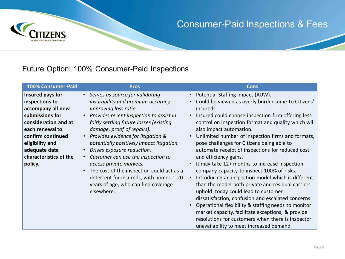

#### Future Option: 100% Consumer-Paid Inspections

| 100% Consumer-Paid                                                                                                                                                                                                  | <b>Pros</b>                                                                                                                                                                                                                                                                                                                                                                                                                                                                                                                                                                                             | Cons                                                                                                                                                                                                                                                                                                                                                                                                                                                                                                                                                                                                                                                                                                                                                                                                                                                                                                                                                                         |
|---------------------------------------------------------------------------------------------------------------------------------------------------------------------------------------------------------------------|---------------------------------------------------------------------------------------------------------------------------------------------------------------------------------------------------------------------------------------------------------------------------------------------------------------------------------------------------------------------------------------------------------------------------------------------------------------------------------------------------------------------------------------------------------------------------------------------------------|------------------------------------------------------------------------------------------------------------------------------------------------------------------------------------------------------------------------------------------------------------------------------------------------------------------------------------------------------------------------------------------------------------------------------------------------------------------------------------------------------------------------------------------------------------------------------------------------------------------------------------------------------------------------------------------------------------------------------------------------------------------------------------------------------------------------------------------------------------------------------------------------------------------------------------------------------------------------------|
| Insured pays for<br>inspections to<br>accompany all new<br>submissions for<br>consideration and at<br>each renewal to<br>confirm continued<br>eligibility and<br>adequate data<br>characteristics of the<br>policy. | • Serves as source for validating<br>insurability and premium accuracy,<br>improving loss ratio.<br>Provides recent inspection to assist in<br>fairly settling future losses (existing<br>damage, proof of repairs).<br>Provides evidence for litigation &<br>$\bullet$<br>potentially positively impact litigation.<br>Drives exposure reduction.<br>$\bullet$<br>Customer can use the inspection to<br>$\bullet$<br>access private markets.<br>The cost of the inspection could act as a<br>$\bullet$<br>deterrent for insureds, with homes 1-20<br>years of age, who can find coverage<br>elsewhere. | • Potential Staffing Impact (AUW).<br>Could be viewed as overly burdensome to Citizens'<br>insureds.<br>Insured could choose inspection firm offering less<br>control on inspection format and quality which will<br>also impact automation.<br>Unlimited number of inspection firms and formats,<br>$\bullet$<br>pose challenges for Citizens being able to<br>automate receipt of inspections for reduced cost<br>and efficiency gains.<br>• It may take 12+ months to increase inspection<br>company-capacity to inspect 100% of risks.<br>Introducing an inspection model which is different<br>$\bullet$<br>than the model both private and residual carriers<br>uphold today could lead to customer<br>dissatisfaction, confusion and escalated concerns.<br>Operational flexibility & staffing needs to monitor<br>market capacity, facilitate exceptions, & provide<br>resolutions for customers when there is inspector<br>unavailability to meet increased demand. |